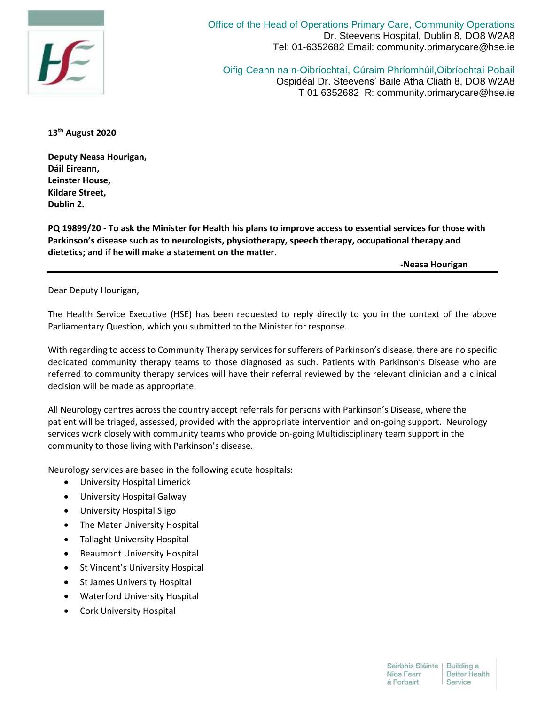

Office of the Head of Operations Primary Care, Community Operations Dr. Steevens Hospital, Dublin 8, DO8 W2A8 Tel: 01-6352682 Email: community.primarycare@hse.ie

Oifig Ceann na n-Oibríochtaí, Cúraim Phríomhúil,Oibríochtaí Pobail Ospidéal Dr. Steevens' Baile Atha Cliath 8, DO8 W2A8 T 01 6352682 R: community.primarycare@hse.ie

**13th August 2020**

**Deputy Neasa Hourigan, Dáil Eireann, Leinster House, Kildare Street, Dublin 2.**

**PQ 19899/20 - To ask the Minister for Health his plans to improve access to essential services for those with Parkinson's disease such as to neurologists, physiotherapy, speech therapy, occupational therapy and dietetics; and if he will make a statement on the matter.**

**-Neasa Hourigan**

Dear Deputy Hourigan,

The Health Service Executive (HSE) has been requested to reply directly to you in the context of the above Parliamentary Question, which you submitted to the Minister for response.

With regarding to access to Community Therapy services for sufferers of Parkinson's disease, there are no specific dedicated community therapy teams to those diagnosed as such. Patients with Parkinson's Disease who are referred to community therapy services will have their referral reviewed by the relevant clinician and a clinical decision will be made as appropriate.

All Neurology centres across the country accept referrals for persons with Parkinson's Disease, where the patient will be triaged, assessed, provided with the appropriate intervention and on-going support. Neurology services work closely with community teams who provide on-going Multidisciplinary team support in the community to those living with Parkinson's disease.

Neurology services are based in the following acute hospitals:

- University Hospital Limerick
- University Hospital Galway
- University Hospital Sligo
- The Mater University Hospital
- Tallaght University Hospital
- **•** Beaumont University Hospital
- St Vincent's University Hospital
- St James University Hospital
- Waterford University Hospital
- **•** Cork University Hospital